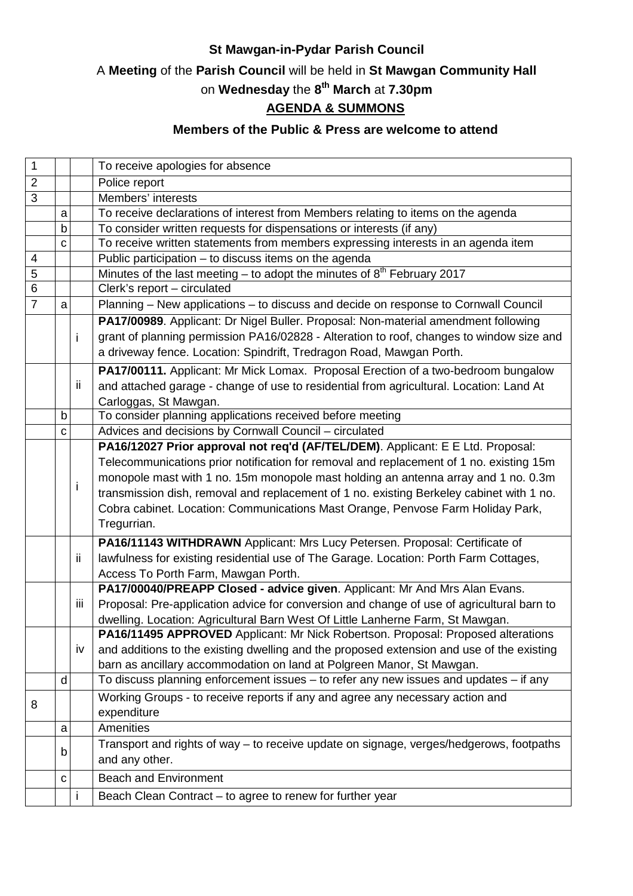### **St Mawgan-in-Pydar Parish Council**

# A **Meeting** of the **Parish Council** will be held in **St Mawgan Community Hall**

#### on **Wednesday** the **8 th March** at **7.30pm**

## **AGENDA & SUMMONS**

### **Members of the Public & Press are welcome to attend**

| 1              |             |      | To receive apologies for absence                                                                                                                                   |
|----------------|-------------|------|--------------------------------------------------------------------------------------------------------------------------------------------------------------------|
| $\overline{2}$ |             |      | Police report                                                                                                                                                      |
| 3              |             |      | Members' interests                                                                                                                                                 |
|                | a           |      | To receive declarations of interest from Members relating to items on the agenda                                                                                   |
|                | $\mathsf b$ |      | To consider written requests for dispensations or interests (if any)                                                                                               |
|                | C           |      | To receive written statements from members expressing interests in an agenda item                                                                                  |
| $\overline{4}$ |             |      | Public participation - to discuss items on the agenda                                                                                                              |
| 5              |             |      | Minutes of the last meeting – to adopt the minutes of $8th$ February 2017                                                                                          |
| $\overline{6}$ |             |      | Clerk's report - circulated                                                                                                                                        |
| $\overline{7}$ | a           |      | Planning - New applications - to discuss and decide on response to Cornwall Council                                                                                |
|                |             |      | PA17/00989. Applicant: Dr Nigel Buller. Proposal: Non-material amendment following                                                                                 |
|                |             | i    | grant of planning permission PA16/02828 - Alteration to roof, changes to window size and                                                                           |
|                |             |      | a driveway fence. Location: Spindrift, Tredragon Road, Mawgan Porth.                                                                                               |
|                |             |      | PA17/00111. Applicant: Mr Mick Lomax. Proposal Erection of a two-bedroom bungalow                                                                                  |
|                |             | ii   | and attached garage - change of use to residential from agricultural. Location: Land At                                                                            |
|                |             |      | Carloggas, St Mawgan.                                                                                                                                              |
|                | b           |      | To consider planning applications received before meeting                                                                                                          |
|                | C           |      | Advices and decisions by Cornwall Council - circulated                                                                                                             |
|                |             |      | PA16/12027 Prior approval not req'd (AF/TEL/DEM). Applicant: E E Ltd. Proposal:                                                                                    |
|                |             |      | Telecommunications prior notification for removal and replacement of 1 no. existing 15m                                                                            |
|                |             | İ    | monopole mast with 1 no. 15m monopole mast holding an antenna array and 1 no. 0.3m                                                                                 |
|                |             |      | transmission dish, removal and replacement of 1 no. existing Berkeley cabinet with 1 no.                                                                           |
|                |             |      | Cobra cabinet. Location: Communications Mast Orange, Penvose Farm Holiday Park,                                                                                    |
|                |             |      | Tregurrian.                                                                                                                                                        |
|                |             |      | PA16/11143 WITHDRAWN Applicant: Mrs Lucy Petersen. Proposal: Certificate of                                                                                        |
|                |             | ij.  | lawfulness for existing residential use of The Garage. Location: Porth Farm Cottages,                                                                              |
|                |             |      | Access To Porth Farm, Mawgan Porth.                                                                                                                                |
|                |             |      | PA17/00040/PREAPP Closed - advice given. Applicant: Mr And Mrs Alan Evans.                                                                                         |
|                |             | iii. | Proposal: Pre-application advice for conversion and change of use of agricultural barn to                                                                          |
|                |             |      |                                                                                                                                                                    |
|                |             |      | dwelling. Location: Agricultural Barn West Of Little Lanherne Farm, St Mawgan.<br>PA16/11495 APPROVED Applicant: Mr Nick Robertson. Proposal: Proposed alterations |
|                |             | iv   | and additions to the existing dwelling and the proposed extension and use of the existing                                                                          |
|                |             |      | barn as ancillary accommodation on land at Polgreen Manor, St Mawgan.                                                                                              |
|                | d           |      | To discuss planning enforcement issues - to refer any new issues and updates - if any                                                                              |
|                |             |      | Working Groups - to receive reports if any and agree any necessary action and                                                                                      |
| 8              |             |      | expenditure                                                                                                                                                        |
|                |             |      | Amenities                                                                                                                                                          |
|                | a           |      |                                                                                                                                                                    |
|                | b           |      | Transport and rights of way – to receive update on signage, verges/hedgerows, footpaths<br>and any other.                                                          |
|                |             |      |                                                                                                                                                                    |
|                | С           |      | <b>Beach and Environment</b>                                                                                                                                       |
|                |             | Ť    | Beach Clean Contract – to agree to renew for further year                                                                                                          |